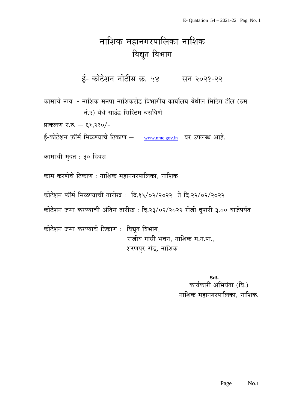## नाशिक महानगरपालिका नाशिक विद्युत विभाग

ई- कोटेशन नोटीस क्र. ५४ सन २०२१-२२

कामाचे नाव :- नाशिक मनपा नाशिकरोड विभागीय कार्यालय येथील मिटिंग हॉल (रुम नं.९) येथे साउंड सिस्टिम बसविणे

प्राकलण र.रु. – ६१,२९०/-

ई-कोटेशन फ़ॉर्म मिळण्याचे ठिकाण – [www.nmc.gov.in](http://www.nmc.gov.in/) वर उपलब्ध आहे.

कामाची मुदत : ३० दिवस

काम करणेचे ठिकाण : नाशिक महानगरपालिका, नाशिक

कोटेशन फॉर्म मिळण्याची तारीख: दि.१५/०२/२०२२ ते दि.२२/०२/२०२२

कोटेशन जमा करण्याची अंतिम तारीख : दि.२३/०२/२०२२ रोजी दुपारी ३.०० वाजेपर्यत

कोटेशन जमा करण्याचे ठिकाण : विद्युत विभाग, राजीव गांधी भवन, नाशिक म.न.पा., शरणपुर रोड, नाशिक

> **Sd/-** कार्यकारी अभियंता (वि.) नाशिक महानगरपालिका, नाशिक.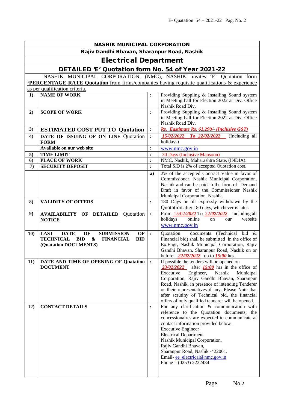| <b>NASHIK MUNICIPAL CORPORATION</b>         |                                                                                                                                                               |                |                                                                                                                                                                                                                                                                                                                                                                                                              |  |  |
|---------------------------------------------|---------------------------------------------------------------------------------------------------------------------------------------------------------------|----------------|--------------------------------------------------------------------------------------------------------------------------------------------------------------------------------------------------------------------------------------------------------------------------------------------------------------------------------------------------------------------------------------------------------------|--|--|
| Rajiv Gandhi Bhavan, Sharanpur Road, Nashik |                                                                                                                                                               |                |                                                                                                                                                                                                                                                                                                                                                                                                              |  |  |
| <b>Electrical Department</b>                |                                                                                                                                                               |                |                                                                                                                                                                                                                                                                                                                                                                                                              |  |  |
|                                             | DETAILED 'E' Quotation form No. 54 of Year 2021-22                                                                                                            |                |                                                                                                                                                                                                                                                                                                                                                                                                              |  |  |
|                                             | NASHIK MUNICIPAL CORPORATION, (NMC),                                                                                                                          |                | NASHIK, invites 'E' Quotation form                                                                                                                                                                                                                                                                                                                                                                           |  |  |
|                                             | <b>PERCENTAGE RATE Quotation</b> from firms/companies having requisite qualifications & experience                                                            |                |                                                                                                                                                                                                                                                                                                                                                                                                              |  |  |
|                                             | as per qualification criteria.                                                                                                                                |                |                                                                                                                                                                                                                                                                                                                                                                                                              |  |  |
| 1)                                          | <b>NAME OF WORK</b>                                                                                                                                           | $\ddot{\cdot}$ | Providing Suppling & Installing Sound system<br>in Meeting hall for Election 2022 at Div. Office<br>Nashik Road Div.                                                                                                                                                                                                                                                                                         |  |  |
| 2)                                          | <b>SCOPE OF WORK</b>                                                                                                                                          | $\ddot{\cdot}$ | Providing Suppling & Installing Sound system<br>in Meeting hall for Election 2022 at Div. Office<br>Nashik Road Div.                                                                                                                                                                                                                                                                                         |  |  |
| 3)                                          | <b>ESTIMATED COST PUT TO Quotation</b>                                                                                                                        | $\ddot{\cdot}$ | Rs. Eastimate Rs. 61,290/- (Inclusive GST)                                                                                                                                                                                                                                                                                                                                                                   |  |  |
| 4)                                          | DATE OF ISSUING OF ON LINE Quotation<br><b>FORM</b>                                                                                                           | $\ddot{\cdot}$ | 15/02/2022 To 22/02/2022 (Including all<br>holidays)                                                                                                                                                                                                                                                                                                                                                         |  |  |
|                                             | Available on our web site                                                                                                                                     | :              | www.nmc.gov.in                                                                                                                                                                                                                                                                                                                                                                                               |  |  |
| 5)                                          | <b>TIME LIMIT</b>                                                                                                                                             | $\ddot{\cdot}$ | 30 Days (Inclusive Mansoon)                                                                                                                                                                                                                                                                                                                                                                                  |  |  |
| 6)                                          | <b>PLACE OF WORK</b>                                                                                                                                          | $\ddot{\cdot}$ | NMC, Nashik, Maharashtra State, (INDIA).                                                                                                                                                                                                                                                                                                                                                                     |  |  |
| $\boldsymbol{\tau}$                         | <b>SECURITY DEPOSIT</b>                                                                                                                                       | :              | Total S.D is 2% of accepted Quotation cost.                                                                                                                                                                                                                                                                                                                                                                  |  |  |
|                                             |                                                                                                                                                               | a)             | 2% of the accepted Contract Value in favor of<br>Commissioner, Nashik Municipal Corporation,<br>Nashik and can be paid in the form of Demand<br>Draft in favor of the Commissioner Nashik<br>Municipal Corporation. Nashik.                                                                                                                                                                                  |  |  |
| 8)                                          | <b>VALIDITY OF OFFERS</b>                                                                                                                                     | $\ddot{\cdot}$ | 180 Days or till expressly withdrawn by the<br>Quotation after 180 days, whichever is later.                                                                                                                                                                                                                                                                                                                 |  |  |
| 9)                                          | <b>AVAILABILITY OF DETAILED</b><br>Quotation<br><b>NOTICE</b>                                                                                                 | $\ddot{\cdot}$ | From $\frac{15/02/2022}{2}$ To $\frac{22/02/2022}{2}$ including all<br>holidays<br>online<br>website<br>our<br>on<br>www.nmc.gov.in                                                                                                                                                                                                                                                                          |  |  |
| 10)                                         | <b>LAST</b><br><b>DATE</b><br>OF<br><b>SUBMISSION</b><br>OF<br><b>TECHNICAL</b><br><b>BID</b><br><b>BID</b><br>&<br><b>FINANCIAL</b><br>(Quatation DOCUMENTS) | $\ddot{\cdot}$ | (Technical bid<br>Ouotation<br>documents<br>- &<br>Financial bid) shall be submitted in the office of<br>Ex.Engr, Nashik Municipal Corporation, Rajiv<br>Gandhi Bhavan, Sharanpur Road, Nashik on or<br>before $\frac{22}{02}{2222}$ up to $\frac{15:00}{2}$ hrs.                                                                                                                                            |  |  |
| 11)                                         | DATE AND TIME OF OPENING OF Quatation<br><b>DOCUMENT</b>                                                                                                      | $\cdot$        | If possible the tenders will be opened on<br>23/02/2022<br>after $15:00$ hrs in the office of<br>Nashik<br>Executive<br>Engineer,<br>Municipal<br>Corporation, Rajiv Gandhi Bhavan, Sharanpur<br>Road, Nashik, in presence of intending Tenderer<br>or their representatives if any. Please Note that<br>after scrutiny of Technical bid, the financial<br>offers of only qualified tenderer will be opened. |  |  |
| 12)                                         | <b>CONTACT DETAILS</b>                                                                                                                                        | $\ddot{\cdot}$ | For any clarification $\&$ communication with<br>reference to the Quotation documents, the<br>concessionaires are expected to communicate at<br>contact information provided below-<br><b>Executive Engineer</b><br><b>Electrical Department</b><br>Nashik Municipal Corporation,<br>Rajiv Gandhi Bhavan,<br>Sharanpur Road, Nashik -422001.<br>Email-ee electrical@nmc.gov.in<br>Phone $- (0253)$ 2222434   |  |  |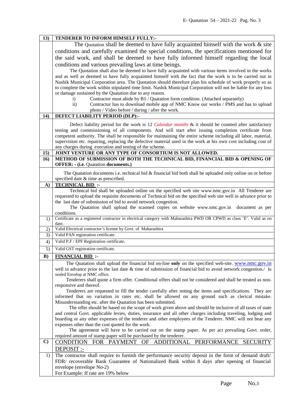| 13)          | TENDERER TO INFORM HIMSELF FULLY:-                                                                                                                                                 |  |  |  |
|--------------|------------------------------------------------------------------------------------------------------------------------------------------------------------------------------------|--|--|--|
|              | The Quotation shall be deemed to have fully acquainted himself with the work $\&$ site                                                                                             |  |  |  |
|              | conditions and carefully examined the special conditions, the specifications mentioned for                                                                                         |  |  |  |
|              | the said work, and shall be deemed to have fully informed himself regarding the local                                                                                              |  |  |  |
|              | conditions and various prevailing laws at time beings.                                                                                                                             |  |  |  |
|              | The Quotation shall also be deemed to have fully acquainted with various items involved in the works                                                                               |  |  |  |
|              | and as well as deemed to have fully acquainted himself with the fact that the work is to be carried out in                                                                         |  |  |  |
|              | Nashik Municipal Corporation area. The Quotation should therefore plan his schedule of work properly so as                                                                         |  |  |  |
|              | to complete the work within stipulated time limit. Nashik Municipal Corporation will not be liable for any loss                                                                    |  |  |  |
|              | or damage sustained by the Quatation due to any reason.                                                                                                                            |  |  |  |
|              | Contractor must abide by B1 / Quatation form condition. (Attached separately)<br>$\mathbf{i}$                                                                                      |  |  |  |
|              | Contractor has to download mobile app of NMC Know our works / PMS and has to upload<br>$\mathbf{ii}$                                                                               |  |  |  |
|              | photo / Video before / during / after the work.                                                                                                                                    |  |  |  |
| 14)          | <b>DEFECT LIABILITY PERIOD (DLP):-</b>                                                                                                                                             |  |  |  |
|              | Defect liability period for the work is 12 <i>Calendar months</i> $\&$ it should be counted after satisfactory                                                                     |  |  |  |
|              | testing and commissioning of all components. And will start after issuing completion certificate from                                                                              |  |  |  |
|              | competent authority. The shall be responsible for maintaining the entire scheme including all labor, material,                                                                     |  |  |  |
|              | supervision etc. repairing, replacing the defective material used in the work at his own cost including cost of                                                                    |  |  |  |
|              | any charges during execution and testing of the scheme.                                                                                                                            |  |  |  |
| 15)          | JOINT VENTURE OR ANY TYPE OF CONSORTIUM IS NOT ALLOWED.                                                                                                                            |  |  |  |
| 16)          | METHOD OF SUBMISSION OF BOTH THE TECHNICAL BID, FINANCIAL BID & OPENING OF<br><b>OFFER: - (i.e. Quatation documents.)</b>                                                          |  |  |  |
|              |                                                                                                                                                                                    |  |  |  |
|              | The Quatation documents i.e. technical bid & financial bid both shall be uploaded only online on or before                                                                         |  |  |  |
|              | specified date & time as prescribed.                                                                                                                                               |  |  |  |
| $\mathbf{A}$ | <b>TECHNICAL BID:</b>                                                                                                                                                              |  |  |  |
|              | Technical bid shall be uploaded online on the specified web site www.nmc.gov.in All Tenderer are                                                                                   |  |  |  |
|              | requested to upload the requisite documents of Technical bid on the specified web site well in advance prior to<br>the last date of submission of bid to avoid network congestion. |  |  |  |
|              | The Quatation shall upload the scanned copies on website www.nmc.gov.in<br>document as per                                                                                         |  |  |  |
|              | conditions.                                                                                                                                                                        |  |  |  |
| 1)           | Certificate as a registered contractor in electrical category with Maharashtra PWD OR CPWD as class 'E'. Valid as on                                                               |  |  |  |
|              | date.                                                                                                                                                                              |  |  |  |
| 2)           | Valid Electrical contractor's license by Govt. of Maharashtra                                                                                                                      |  |  |  |
| 3)           | Valid PAN registration certificate.                                                                                                                                                |  |  |  |
| 4)           | Valid P.F / EPF Registration certificate.                                                                                                                                          |  |  |  |
| 5)           | Valid GST registration certificate.                                                                                                                                                |  |  |  |
| $\bf{B}$     | <b>FINANCIAL BID:</b>                                                                                                                                                              |  |  |  |
|              | The Quatation shall upload the financial bid on-line only on the specified web-site. www.nmc.gov.in                                                                                |  |  |  |
|              | well in advance prior to the last date & time of submission of financial bid to avoid network congestion./ In                                                                      |  |  |  |
|              | sealed Envelop at NMC office.                                                                                                                                                      |  |  |  |
|              | Tenderers shall quote a firm offer. Conditional offers shall not be considered and shall be treated as non-<br>responsive and thereof.                                             |  |  |  |
|              | Tenderers are requested to fill the tender carefully after noting the items and specifications. They are                                                                           |  |  |  |
|              | informed that no variation in rates etc. shall be allowed on any ground such as clerical mistake.                                                                                  |  |  |  |
|              | Misunderstanding etc. after the Quatation has been submitted.                                                                                                                      |  |  |  |
|              | The offer should be based on the scope of work given above and should be inclusive of all taxes of state                                                                           |  |  |  |
|              | and central Govt. applicable levies, duties, insurance and all other charges including traveling, lodging and                                                                      |  |  |  |
|              | boarding or any other expenses of the tenderer and other employees of the Tenderer. NMC will not bear any                                                                          |  |  |  |
|              | expenses other than the cost quoted for the work.                                                                                                                                  |  |  |  |
|              | The agreement will have to be carried out on the stamp paper. As per act prevailing Govt. order,<br>required amount of stamp paper will be purchased by the tenderer.              |  |  |  |
| $\mathbf{C}$ |                                                                                                                                                                                    |  |  |  |
|              | CONDITION FOR PAYMENT OF ADDITIONAL PERFORMANCE SECURITY                                                                                                                           |  |  |  |
|              | DEPOSIT :-                                                                                                                                                                         |  |  |  |
| 1)           | The contractor shall require to furnish the performance security deposit in the form of demand draft/                                                                              |  |  |  |
|              | FDR/ recoverable Bank Guarantee of Nationalized Bank within 8 days after opening of financial                                                                                      |  |  |  |
|              | envelope (envelope No-2)                                                                                                                                                           |  |  |  |
|              | For Example: If rate are 19% below                                                                                                                                                 |  |  |  |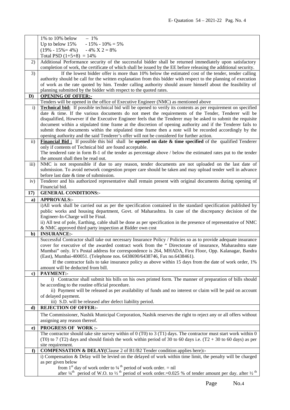|               | 1% to 10% below<br>$-1\%$                                                                                                                                                 |  |  |
|---------------|---------------------------------------------------------------------------------------------------------------------------------------------------------------------------|--|--|
|               | Up to below 15%<br>- 15% - 10% = 5%                                                                                                                                       |  |  |
|               | $(19\% - 15\% = 4\%)$<br>$-4\% \text{ X } 2 = 8\%$                                                                                                                        |  |  |
|               | Total PSD $(1+5+8) = 14\%$                                                                                                                                                |  |  |
| 2)            | Additional Performance security of the successful bidder shall be returned immediately upon satisfactory                                                                  |  |  |
|               | completion of work, the certificate of which shall be issued by the EE before releasing the additional security.                                                          |  |  |
| 3)            | If the lowest bidder offer is more than 10% below the estimated cost of the tender, tender calling                                                                        |  |  |
|               | authority should be call for the written explanation from this bidder with respect to the planning of execution                                                           |  |  |
|               | of work as the rate quoted by him. Tender calling authority should assure himself about the feasibility of                                                                |  |  |
|               | planning submitted by the bidder with respect to the quoted rates.                                                                                                        |  |  |
| D)            | <b>OPENING OF OFFER:-</b>                                                                                                                                                 |  |  |
|               | Tenders will be opened in the office of Executive Engineer (NMC) as mentioned above                                                                                       |  |  |
| $\mathbf{i}$  | <b>Technical bid:</b> If possible technical bid will be opened to verify its contents as per requirement on specified                                                     |  |  |
|               | date & time. If the various documents do not meet the requirements of the Tender, Tenderer will be                                                                        |  |  |
|               | disqualified, However if the Executive Engineer feels that the Tenderer may be asked to submit the requisite                                                              |  |  |
|               | document within a stipulated time frame at the discretion of opening authority and if the Tenderer fails to                                                               |  |  |
|               | submit those documents within the stipulated time frame then a note will be recorded accordingly by the                                                                   |  |  |
|               | opening authority and the said Tenderer's offer will not be considered for further action.                                                                                |  |  |
| $\mathbf{ii}$ | Financial Bid: If possible this bid shall be opened on date & time specified of the qualified Tenderer                                                                    |  |  |
|               | only if contents of Technical bid are found acceptable.<br>The tendered rate in form B-1 of the tender as percentage above / below the estimated rates put to the tender  |  |  |
|               | the amount shall then be read out.                                                                                                                                        |  |  |
| iii)          | NMC is not responsible if due to any reason, tender documents are not uploaded on the last date of                                                                        |  |  |
|               | submission. To avoid network congestion proper care should be taken and may upload tender well in advance                                                                 |  |  |
|               | before last date & time of submission.                                                                                                                                    |  |  |
| iv)           | Tenderer and his authorized representative shall remain present with original documents during opening of                                                                 |  |  |
|               | Financial bid.                                                                                                                                                            |  |  |
| 17)           | <b>GENERAL CONDITIONS:-</b>                                                                                                                                               |  |  |
| a)            | <b>APPROVALS:-</b>                                                                                                                                                        |  |  |
|               | i)All work shall be carried out as per the specification contained in the standard specification published by                                                             |  |  |
|               | public works and housing department, Govt. of Maharashtra. In case of the discrepancy decision of the                                                                     |  |  |
|               | Engineer-In-Charge will be Final.                                                                                                                                         |  |  |
|               | ii) All test of pole, Earthing, cable shall be done as per specification in the presence of representative of NMC                                                         |  |  |
|               | & NMC approved third party inspection at Bidder own cost                                                                                                                  |  |  |
| b)            | <b>INSURANCE:-</b>                                                                                                                                                        |  |  |
|               | Successful Contractor shall take out necessary Insurance Policy / Policies so as to provide adequate insurance                                                            |  |  |
|               | cover for executive of the awarded contract work from the " Directorate of insurance, Maharashtra state                                                                   |  |  |
|               | Mumbai" only. It's Postal address for correspondence is 264, MHADA, First Floor, Opp. Kalanagar, Bandra                                                                   |  |  |
|               | (East), Mumbai-400051. (Telephone nos. 6438690/6438746, Fax no.6438461).                                                                                                  |  |  |
|               | If the contractor fails to take insurance policy as above within 15 days from the date of work order, 1%                                                                  |  |  |
|               | amount will be deducted from bill.<br>PAYMENT:-                                                                                                                           |  |  |
| $\bf c)$      | i) Contractor shall submit his bills on his own printed form. The manner of preparation of bills should                                                                   |  |  |
|               | be according to the routine official procedure.                                                                                                                           |  |  |
|               | ii) Payment will be released as per availability of funds and no interest or claim will be paid on account                                                                |  |  |
|               | of delayed payment.                                                                                                                                                       |  |  |
|               | iii) S.D. will be released after defect liability period.                                                                                                                 |  |  |
| d)            | <b>REJECTION OF OFFER:-</b>                                                                                                                                               |  |  |
|               | The Commissioner, Nashik Municipal Corporation, Nashik reserves the right to reject any or all offers without                                                             |  |  |
|               | assigning any reason thereof.                                                                                                                                             |  |  |
|               | <b>PROGRESS OF WORK:-</b>                                                                                                                                                 |  |  |
| $\mathbf{e})$ | The contractor should take site survey within of $0(T0)$ to $3(T1)$ days. The contractor must start work within $0$                                                       |  |  |
|               | (T0) to 7 (T2) days and should finish the work within period of 30 to 60 days i.e. $(T2 + 30)$ to 60 days) as per                                                         |  |  |
|               | site requirement.                                                                                                                                                         |  |  |
| f             | <b>COMPENSATION &amp; DELAY</b> (Clause 2 of B1/B2 Tender condition applies here):-                                                                                       |  |  |
|               | i) Compensation & Delay will be levied on the delayed of work within time limit, the penalty will be charged                                                              |  |  |
|               | as per given below                                                                                                                                                        |  |  |
|               | from 1 <sup>st</sup> day of work order to $\frac{1}{4}$ <sup>th</sup> period of work order. = nil                                                                         |  |  |
|               | after $\frac{1}{4}$ <sup>th</sup> period of W.O. to $\frac{1}{2}$ <sup>th</sup> period of work order.=0.025 % of tender amount per day. after $\frac{1}{2}$ <sup>th</sup> |  |  |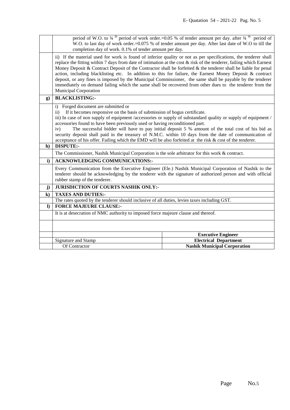|              | period of W.O. to $\frac{3}{4}$ <sup>th</sup> period of work order.=0.05 % of tender amount per day. after $\frac{3}{4}$ <sup>th</sup> period of<br>W.O. to last day of work order.=0.075 % of tender amount per day. After last date of W.O to till the                                                                                                                                                                                                                                                                                                                                                                                                                                                                             |                                     |  |
|--------------|--------------------------------------------------------------------------------------------------------------------------------------------------------------------------------------------------------------------------------------------------------------------------------------------------------------------------------------------------------------------------------------------------------------------------------------------------------------------------------------------------------------------------------------------------------------------------------------------------------------------------------------------------------------------------------------------------------------------------------------|-------------------------------------|--|
|              | completion day of work. 0.1% of tender amount per day.                                                                                                                                                                                                                                                                                                                                                                                                                                                                                                                                                                                                                                                                               |                                     |  |
|              | ii) If the material used for work is found of inferior quality or not as per specifications, the tenderer shall<br>replace the fitting within 7 days from date of intimation at the cost $\&$ risk of the tenderer, failing which Earnest<br>Money Deposit & Contract Deposit of the Contractor shall be forfeited $\&$ the tenderer shall be liable for penal<br>action, including blacklisting etc. In addition to this for failure, the Earnest Money Deposit & contract<br>deposit, or any fines is imposed by the Municipal Commissioner, the same shall be payable by the tenderer<br>immediately on demand failing which the same shall be recovered from other dues to the tenderer from the<br><b>Municipal Corporation</b> |                                     |  |
| $\mathbf{g}$ | <b>BLACKLISTING:-</b>                                                                                                                                                                                                                                                                                                                                                                                                                                                                                                                                                                                                                                                                                                                |                                     |  |
|              | i) Forged document are submitted or<br>If it becomes responsive on the basis of submission of bogus certificate.<br>$\rm ii)$<br>iii) In case of non supply of equipment /accessories or supply of substandard quality or supply of equipment /<br>accessories found to have been previously used or having reconditioned part.<br>The successful bidder will have to pay initial deposit 5 % amount of the total cost of his bid as<br>iv)<br>security deposit shall paid in the treasury of N.M.C. within 10 days from the date of communication of<br>acceptance of his offer. Failing which the EMD will be also forfeited at the risk $\&$ cost of the tenderer.                                                                |                                     |  |
| h)           | <b>DISPUTE:-</b>                                                                                                                                                                                                                                                                                                                                                                                                                                                                                                                                                                                                                                                                                                                     |                                     |  |
|              | The Commissioner, Nashik Municipal Corporation is the sole arbitrator for this work & contract.                                                                                                                                                                                                                                                                                                                                                                                                                                                                                                                                                                                                                                      |                                     |  |
| $\mathbf{i}$ | <b>ACKNOWLEDGING COMMUNICATIONS:-</b>                                                                                                                                                                                                                                                                                                                                                                                                                                                                                                                                                                                                                                                                                                |                                     |  |
|              | Every Communication from the Executive Engineer (Ele.) Nashik Municipal Corporation of Nashik to the<br>tenderer should be acknowledging by the tenderer with the signature of authorized person and with official<br>rubber stamp of the tenderer.                                                                                                                                                                                                                                                                                                                                                                                                                                                                                  |                                     |  |
| j)           | <b>JURISDICTION OF COURTS NASHIK ONLY:-</b>                                                                                                                                                                                                                                                                                                                                                                                                                                                                                                                                                                                                                                                                                          |                                     |  |
| $\bf k)$     | <b>TAXES AND DUTIES:-</b>                                                                                                                                                                                                                                                                                                                                                                                                                                                                                                                                                                                                                                                                                                            |                                     |  |
|              | The rates quoted by the tenderer should inclusive of all duties, levies taxes including GST.                                                                                                                                                                                                                                                                                                                                                                                                                                                                                                                                                                                                                                         |                                     |  |
| $\bf{D}$     | <b>FORCE MAJEURE CLAUSE:-</b>                                                                                                                                                                                                                                                                                                                                                                                                                                                                                                                                                                                                                                                                                                        |                                     |  |
|              | It is at desecration of NMC authority to imposed force majeure clause and thereof.                                                                                                                                                                                                                                                                                                                                                                                                                                                                                                                                                                                                                                                   |                                     |  |
|              |                                                                                                                                                                                                                                                                                                                                                                                                                                                                                                                                                                                                                                                                                                                                      |                                     |  |
|              |                                                                                                                                                                                                                                                                                                                                                                                                                                                                                                                                                                                                                                                                                                                                      | <b>Executive Engineer</b>           |  |
|              | Signature and Stamp                                                                                                                                                                                                                                                                                                                                                                                                                                                                                                                                                                                                                                                                                                                  | <b>Electrical Department</b>        |  |
|              | Of Contractor                                                                                                                                                                                                                                                                                                                                                                                                                                                                                                                                                                                                                                                                                                                        | <b>Nashik Municipal Corporation</b> |  |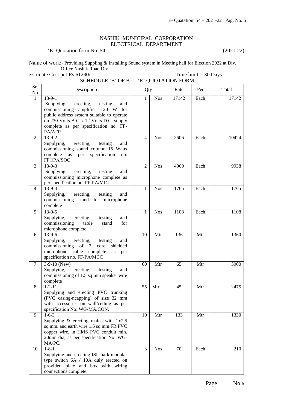## NASHIK MUNICIPAL CORPORATION ELECTRICAL DEPARTMENT

'E' Quotation form No. 54 (2021-22)

Name of work:- Providing Suppling & Installing Sound system in Meeting hall for Election 2022 at Div. Office Nashik Road Div.

Estimate Cost put Rs.61290/- Time limit :- 30 Days

|              | SCHEDULE 'B' OF B-1 'E' QUOTATION FORM                                                                                                                                                                                                 |                |            |       |      |       |
|--------------|----------------------------------------------------------------------------------------------------------------------------------------------------------------------------------------------------------------------------------------|----------------|------------|-------|------|-------|
| Sr.<br>No    | Description                                                                                                                                                                                                                            | Qty            |            | Rate  | Per  | Total |
| $\mathbf{1}$ | $13-9-1$<br>Supplying,<br>erecting,<br>testing<br>and<br>commissioning amplifier 120 W for<br>public address system suitable to operate<br>on 230 Volts A.C. / 12 Volts D.C. supply<br>complete as per specification no. FF-<br>PA/AFR | $\mathbf{1}$   | <b>Nos</b> | 17142 | Each | 17142 |
| 2            | 13-9-2<br>erecting,<br>Supplying,<br>testing<br>and<br>commissioning sound column 15 Watts<br>specification<br>complete<br>as per<br>no.<br><b>FF</b> □PA/SOC                                                                          | 4              | <b>Nos</b> | 2606  | Each | 10424 |
| 3            | $13-9-3$<br>Supplying,<br>erecting,<br>testing<br>and<br>commissioning microphone complete as<br>per specification no. FF-PA/MIC                                                                                                       | $\overline{2}$ | <b>Nos</b> | 4969  | Each | 9938  |
| 4            | $13 - 9 - 4$<br>erecting,<br>testing<br>Supplying,<br>and<br>commissioning stand for microphone<br>complete                                                                                                                            | 1              | <b>Nos</b> | 1765  | Each | 1765  |
| 5            | $13-9-5$<br>Supplying,<br>erecting,<br>testing<br>and<br>commissioning<br>table<br>stand<br>for<br>microphone complete.                                                                                                                | 1              | <b>Nos</b> | 1108  | Each | 1108  |
| 6            | $13-9-6$<br>Supplying,<br>erecting,<br>testing<br>and<br>commissioning of $2$<br>shielded<br>core<br>microphone cable complete<br>as<br>per<br>specification no. FF-PA/MCC                                                             | 10             | Mtr        | 136   | Mtr  | 1360  |
| $\tau$       | $3-9-10$ (New)<br>erecting,<br>Supplying,<br>testing<br>and<br>commissioning of 1.5 sq mm speaker wire<br>complete                                                                                                                     | 60             | Mtr        | 65    | Mtr  | 3900  |
| 8            | $1 - 2 - 11$<br>Supplying and erecting PVC trunking<br>(PVC casing-neapping) of size 32 mm<br>with accessories on wall/ceiling as per<br>specification No: WG-MA/CON.                                                                  | 55             | Mtr        | 45    | Mtr  | 2475  |
| 9            | $1 - 6 - 3$<br>Supplying $\&$ erecting mains with $2x2.5$<br>sq.mm. and earth wire 1.5 sq.mm FR PVC<br>copper wire, in HMS PVC conduit min.<br>20mm dia, as per specification No: WG-<br>MA/PC.                                        | 10             | Mtr        | 133   | Mtr  | 1330  |
| 10           | $1 - 8 - 1$<br>Supplying and erecting ISI mark modular<br>type switch 6A / 10A duly erected on<br>provided plate and box with wiring<br>connections complete.                                                                          | 3              | <b>Nos</b> | 70    | Each | 210   |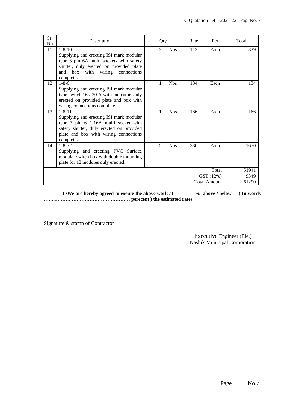| Sr.<br>N <sub>o</sub> | Description                                                                                                                                                                                               | Qty                      |            | Rate | Per   | Total |
|-----------------------|-----------------------------------------------------------------------------------------------------------------------------------------------------------------------------------------------------------|--------------------------|------------|------|-------|-------|
| 11                    | $1 - 8 - 10$<br>Supplying and erecting ISI mark modular<br>type 3 pin 6A multi sockets with safety<br>shutter, duly erected on provided plate<br>wiring<br>connections<br>box<br>with<br>and<br>complete. | 3                        | <b>Nos</b> | 113  | Each  | 339   |
| 12                    | $1 - 8 - 6$<br>Supplying and erecting ISI mark modular<br>type switch $16 / 20$ A with indicator, duly<br>erected on provided plate and box with<br>wiring connections complete                           | 1                        | <b>Nos</b> | 134  | Each  | 134   |
| 13                    | $1 - 8 - 11$<br>Supplying and erecting ISI mark modular<br>type 3 pin 6 / 16A multi socket with<br>safety shutter, duly erected on provided<br>plate and box with wiring connections<br>complete.         | 1                        | <b>Nos</b> | 166  | Each  | 166   |
| 14                    | $1 - 8 - 32$<br>Supplying and erecting PVC Surface<br>modular switch box with double mounting<br>plate for 12 modules duly erected.                                                                       | $\overline{\phantom{0}}$ | <b>Nos</b> | 330  | Each  | 1650  |
| Total                 |                                                                                                                                                                                                           |                          |            |      | 51941 |       |
|                       | GST (12%)                                                                                                                                                                                                 |                          |            |      | 9349  |       |
|                       | <b>Total Amount</b><br>61290                                                                                                                                                                              |                          |            |      |       |       |

**I** /We are hereby agreed to exeute the above work at  $\%$  above / below (In words **……..……… ……………………………… perecent ) the estimated rates.** 

Signature & stamp of Contractor

 Executive Engineer (Ele.) Nashik Municipal Corporation,